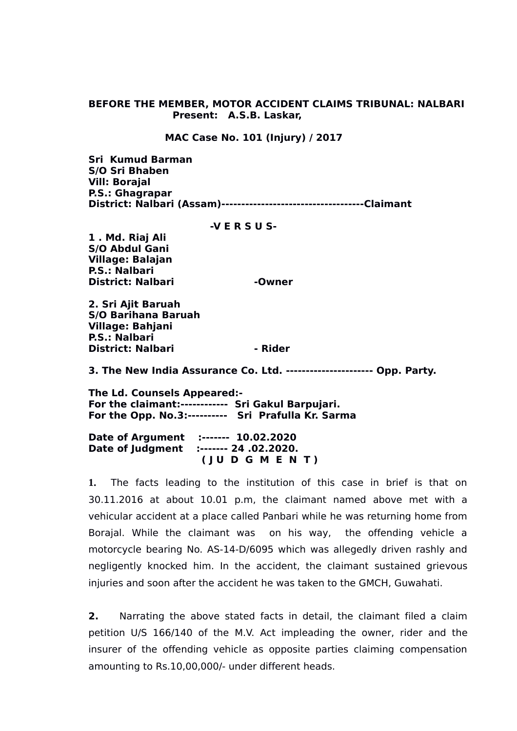### **BEFORE THE MEMBER, MOTOR ACCIDENT CLAIMS TRIBUNAL: NALBARI Present: A.S.B. Laskar,**

#### **MAC Case No. 101 (Injury) / 2017**

**Sri Kumud Barman S/O Sri Bhaben Vill: Borajal P.S.: Ghagrapar District: Nalbari (Assam)------------------------------------Claimant** 

 **-V E R S U S-**

**1 . Md. Riaj Ali S/O Abdul Gani Village: Balajan P.S.: Nalbari District: Nalbari Manuel Accord - Owner** 

**2. Sri Ajit Baruah S/O Barihana Baruah Village: Bahjani P.S.: Nalbari District: Nalbari 1988** - Rider

**3. The New India Assurance Co. Ltd. ---------------------- Opp. Party.**

**The Ld. Counsels Appeared:- For the claimant:------------ Sri Gakul Barpujari. For the Opp. No.3:---------- Sri Prafulla Kr. Sarma**

**Date of Argument :------- 10.02.2020 Date of Judgment :------- 24 .02.2020. ( J U D G M E N T )**

**1.** The facts leading to the institution of this case in brief is that on 30.11.2016 at about 10.01 p.m, the claimant named above met with a vehicular accident at a place called Panbari while he was returning home from Borajal. While the claimant was on his way, the offending vehicle a motorcycle bearing No. AS-14-D/6095 which was allegedly driven rashly and negligently knocked him. In the accident, the claimant sustained grievous injuries and soon after the accident he was taken to the GMCH, Guwahati.

**2.** Narrating the above stated facts in detail, the claimant filed a claim petition U/S 166/140 of the M.V. Act impleading the owner, rider and the insurer of the offending vehicle as opposite parties claiming compensation amounting to Rs.10,00,000/- under different heads.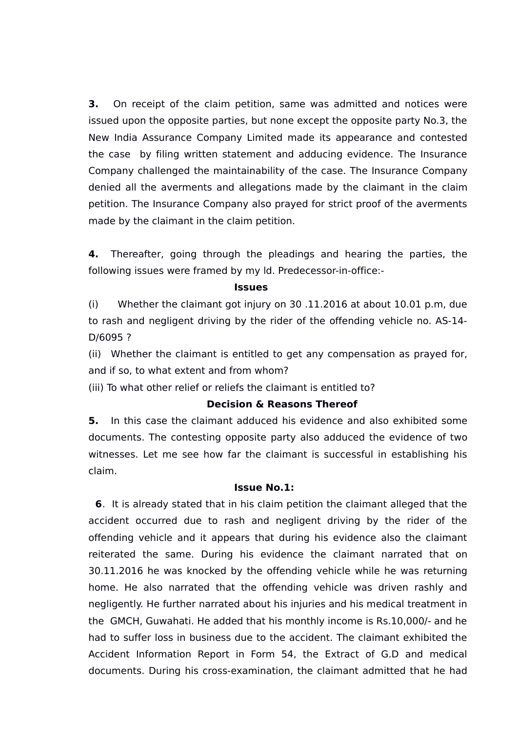**3.** On receipt of the claim petition, same was admitted and notices were issued upon the opposite parties, but none except the opposite party No.3, the New India Assurance Company Limited made its appearance and contested the case by filing written statement and adducing evidence. The Insurance Company challenged the maintainability of the case. The Insurance Company denied all the averments and allegations made by the claimant in the claim petition. The Insurance Company also prayed for strict proof of the averments made by the claimant in the claim petition.

**4.** Thereafter, going through the pleadings and hearing the parties, the following issues were framed by my ld. Predecessor-in-office:-

#### **Issues**

(i) Whether the claimant got injury on 30 .11.2016 at about 10.01 p.m, due to rash and negligent driving by the rider of the offending vehicle no. AS-14- D/6095 ?

(ii) Whether the claimant is entitled to get any compensation as prayed for, and if so, to what extent and from whom?

(iii) To what other relief or reliefs the claimant is entitled to?

## **Decision & Reasons Thereof**

**5.** In this case the claimant adduced his evidence and also exhibited some documents. The contesting opposite party also adduced the evidence of two witnesses. Let me see how far the claimant is successful in establishing his claim.

### **Issue No.1:**

 **6**. It is already stated that in his claim petition the claimant alleged that the accident occurred due to rash and negligent driving by the rider of the offending vehicle and it appears that during his evidence also the claimant reiterated the same. During his evidence the claimant narrated that on 30.11.2016 he was knocked by the offending vehicle while he was returning home. He also narrated that the offending vehicle was driven rashly and negligently. He further narrated about his injuries and his medical treatment in the GMCH, Guwahati. He added that his monthly income is Rs.10,000/- and he had to suffer loss in business due to the accident. The claimant exhibited the Accident Information Report in Form 54, the Extract of G.D and medical documents. During his cross-examination, the claimant admitted that he had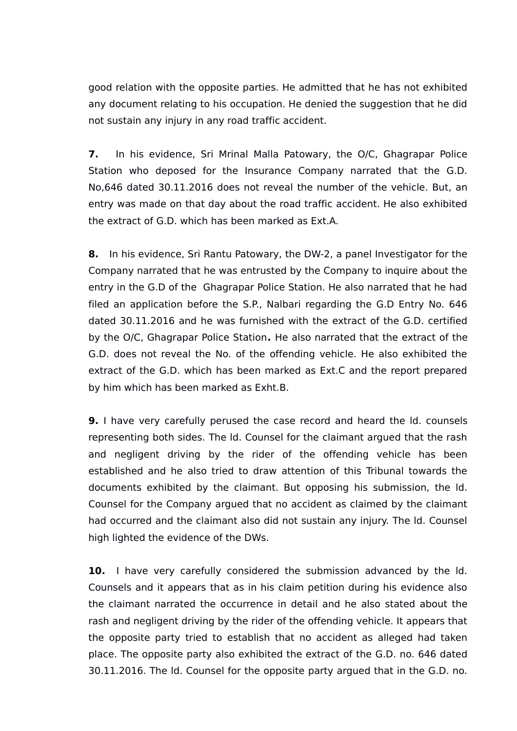good relation with the opposite parties. He admitted that he has not exhibited any document relating to his occupation. He denied the suggestion that he did not sustain any injury in any road traffic accident.

**7.** In his evidence, Sri Mrinal Malla Patowary, the O/C, Ghagrapar Police Station who deposed for the Insurance Company narrated that the G.D. No,646 dated 30.11.2016 does not reveal the number of the vehicle. But, an entry was made on that day about the road traffic accident. He also exhibited the extract of G.D. which has been marked as Ext.A.

**8.** In his evidence, Sri Rantu Patowary, the DW-2, a panel Investigator for the Company narrated that he was entrusted by the Company to inquire about the entry in the G.D of the Ghagrapar Police Station. He also narrated that he had filed an application before the S.P., Nalbari regarding the G.D Entry No. 646 dated 30.11.2016 and he was furnished with the extract of the G.D. certified by the O/C, Ghagrapar Police Station**.** He also narrated that the extract of the G.D. does not reveal the No. of the offending vehicle. He also exhibited the extract of the G.D. which has been marked as Ext.C and the report prepared by him which has been marked as Exht.B.

**9.** I have very carefully perused the case record and heard the ld. counsels representing both sides. The ld. Counsel for the claimant argued that the rash and negligent driving by the rider of the offending vehicle has been established and he also tried to draw attention of this Tribunal towards the documents exhibited by the claimant. But opposing his submission, the ld. Counsel for the Company argued that no accident as claimed by the claimant had occurred and the claimant also did not sustain any injury. The ld. Counsel high lighted the evidence of the DWs.

**10.** I have very carefully considered the submission advanced by the Id. Counsels and it appears that as in his claim petition during his evidence also the claimant narrated the occurrence in detail and he also stated about the rash and negligent driving by the rider of the offending vehicle. It appears that the opposite party tried to establish that no accident as alleged had taken place. The opposite party also exhibited the extract of the G.D. no. 646 dated 30.11.2016. The ld. Counsel for the opposite party argued that in the G.D. no.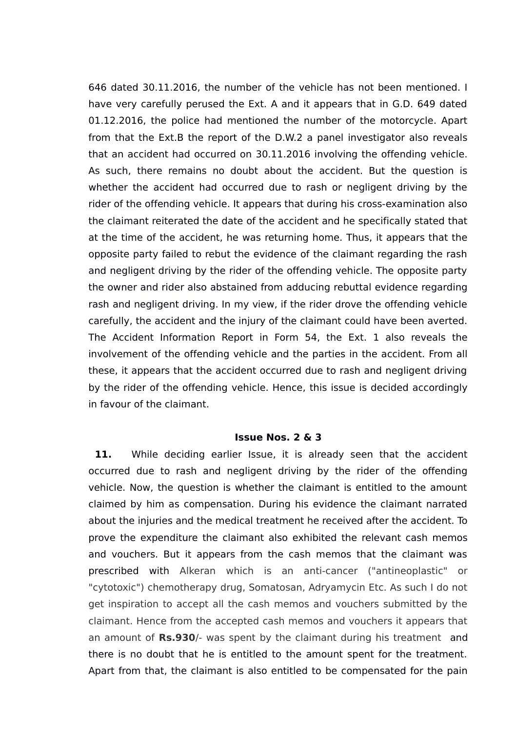646 dated 30.11.2016, the number of the vehicle has not been mentioned. I have very carefully perused the Ext. A and it appears that in G.D. 649 dated 01.12.2016, the police had mentioned the number of the motorcycle. Apart from that the Ext.B the report of the D.W.2 a panel investigator also reveals that an accident had occurred on 30.11.2016 involving the offending vehicle. As such, there remains no doubt about the accident. But the question is whether the accident had occurred due to rash or negligent driving by the rider of the offending vehicle. It appears that during his cross-examination also the claimant reiterated the date of the accident and he specifically stated that at the time of the accident, he was returning home. Thus, it appears that the opposite party failed to rebut the evidence of the claimant regarding the rash and negligent driving by the rider of the offending vehicle. The opposite party the owner and rider also abstained from adducing rebuttal evidence regarding rash and negligent driving. In my view, if the rider drove the offending vehicle carefully, the accident and the injury of the claimant could have been averted. The Accident Information Report in Form 54, the Ext. 1 also reveals the involvement of the offending vehicle and the parties in the accident. From all these, it appears that the accident occurred due to rash and negligent driving by the rider of the offending vehicle. Hence, this issue is decided accordingly in favour of the claimant.

### **Issue Nos. 2 & 3**

11. While deciding earlier Issue, it is already seen that the accident occurred due to rash and negligent driving by the rider of the offending vehicle. Now, the question is whether the claimant is entitled to the amount claimed by him as compensation. During his evidence the claimant narrated about the injuries and the medical treatment he received after the accident. To prove the expenditure the claimant also exhibited the relevant cash memos and vouchers. But it appears from the cash memos that the claimant was prescribed with Alkeran which is an anti-cancer ("antineoplastic" or "cytotoxic") chemotherapy drug, Somatosan, Adryamycin Etc. As such I do not get inspiration to accept all the cash memos and vouchers submitted by the claimant. Hence from the accepted cash memos and vouchers it appears that an amount of **Rs.930**/- was spent by the claimant during his treatment and there is no doubt that he is entitled to the amount spent for the treatment. Apart from that, the claimant is also entitled to be compensated for the pain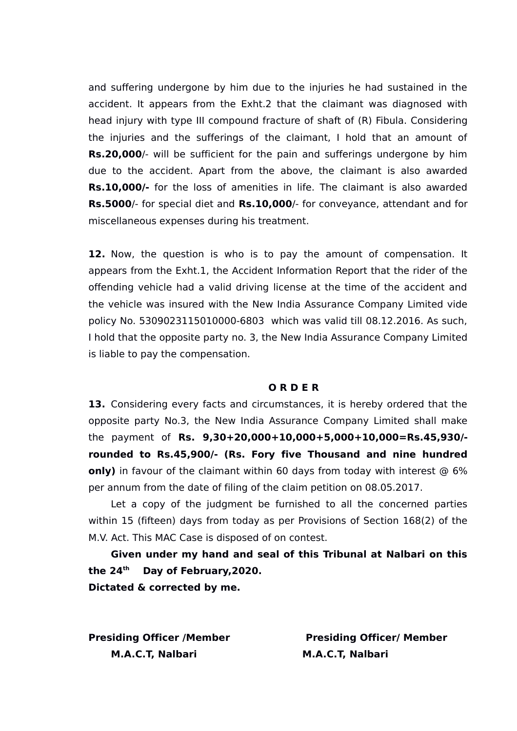and suffering undergone by him due to the injuries he had sustained in the accident. It appears from the Exht.2 that the claimant was diagnosed with head injury with type III compound fracture of shaft of (R) Fibula. Considering the injuries and the sufferings of the claimant, I hold that an amount of **Rs.20,000**/- will be sufficient for the pain and sufferings undergone by him due to the accident. Apart from the above, the claimant is also awarded **Rs.10,000/-** for the loss of amenities in life. The claimant is also awarded **Rs.5000**/- for special diet and **Rs.10,000**/- for conveyance, attendant and for miscellaneous expenses during his treatment.

**12.** Now, the question is who is to pay the amount of compensation. It appears from the Exht.1, the Accident Information Report that the rider of the offending vehicle had a valid driving license at the time of the accident and the vehicle was insured with the New India Assurance Company Limited vide policy No. 5309023115010000-6803 which was valid till 08.12.2016. As such, I hold that the opposite party no. 3, the New India Assurance Company Limited is liable to pay the compensation.

## **O R D E R**

**13.** Considering every facts and circumstances, it is hereby ordered that the opposite party No.3, the New India Assurance Company Limited shall make the payment of **Rs. 9,30+20,000+10,000+5,000+10,000=Rs.45,930/ rounded to Rs.45,900/- (Rs. Fory five Thousand and nine hundred only)** in favour of the claimant within 60 days from today with interest @ 6% per annum from the date of filing of the claim petition on 08.05.2017.

Let a copy of the judgment be furnished to all the concerned parties within 15 (fifteen) days from today as per Provisions of Section 168(2) of the M.V. Act. This MAC Case is disposed of on contest.

**Given under my hand and seal of this Tribunal at Nalbari on this the 24th Day of February,2020. Dictated & corrected by me.** 

**M.A.C.T. Nalbari M.A.C.T. Nalbari** 

**Presiding Officer /Member Presiding Officer/ Member**